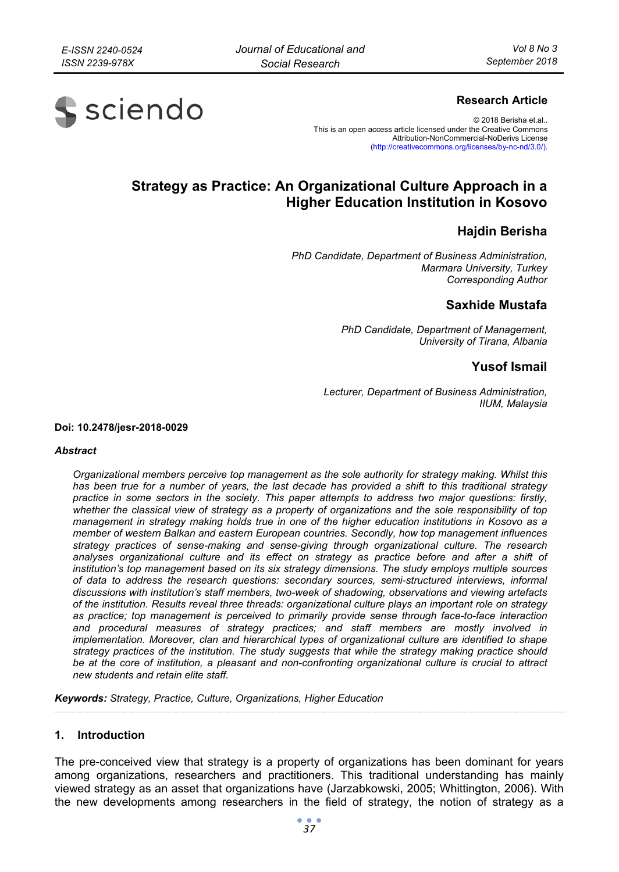

# **Research Article**

© 2018 Berisha et.al.. This is an open access article licensed under the Creative Commons Attribution-NonCommercial-NoDerivs License (http://creativecommons.org/licenses/by-nc-nd/3.0/).

# **Strategy as Practice: An Organizational Culture Approach in a Higher Education Institution in Kosovo**

# **Hajdin Berisha**

*PhD Candidate, Department of Business Administration, Marmara University, Turkey Corresponding Author* 

# **Saxhide Mustafa**

*PhD Candidate, Department of Management, University of Tirana, Albania* 

# **Yusof Ismail**

*Lecturer, Department of Business Administration, IIUM, Malaysia* 

**Doi: 10.2478/jesr-2018-0029** 

#### *Abstract*

*Organizational members perceive top management as the sole authority for strategy making. Whilst this has been true for a number of years, the last decade has provided a shift to this traditional strategy practice in some sectors in the society. This paper attempts to address two major questions: firstly, whether the classical view of strategy as a property of organizations and the sole responsibility of top management in strategy making holds true in one of the higher education institutions in Kosovo as a member of western Balkan and eastern European countries. Secondly, how top management influences strategy practices of sense-making and sense-giving through organizational culture. The research analyses organizational culture and its effect on strategy as practice before and after a shift of institution's top management based on its six strategy dimensions. The study employs multiple sources of data to address the research questions: secondary sources, semi-structured interviews, informal discussions with institution's staff members, two-week of shadowing, observations and viewing artefacts of the institution. Results reveal three threads: organizational culture plays an important role on strategy as practice; top management is perceived to primarily provide sense through face-to-face interaction and procedural measures of strategy practices; and staff members are mostly involved in implementation. Moreover, clan and hierarchical types of organizational culture are identified to shape strategy practices of the institution. The study suggests that while the strategy making practice should be at the core of institution, a pleasant and non-confronting organizational culture is crucial to attract new students and retain elite staff.* 

*Keywords: Strategy, Practice, Culture, Organizations, Higher Education* 

#### **1. Introduction**

The pre-conceived view that strategy is a property of organizations has been dominant for years among organizations, researchers and practitioners. This traditional understanding has mainly viewed strategy as an asset that organizations have (Jarzabkowski, 2005; Whittington, 2006). With the new developments among researchers in the field of strategy, the notion of strategy as a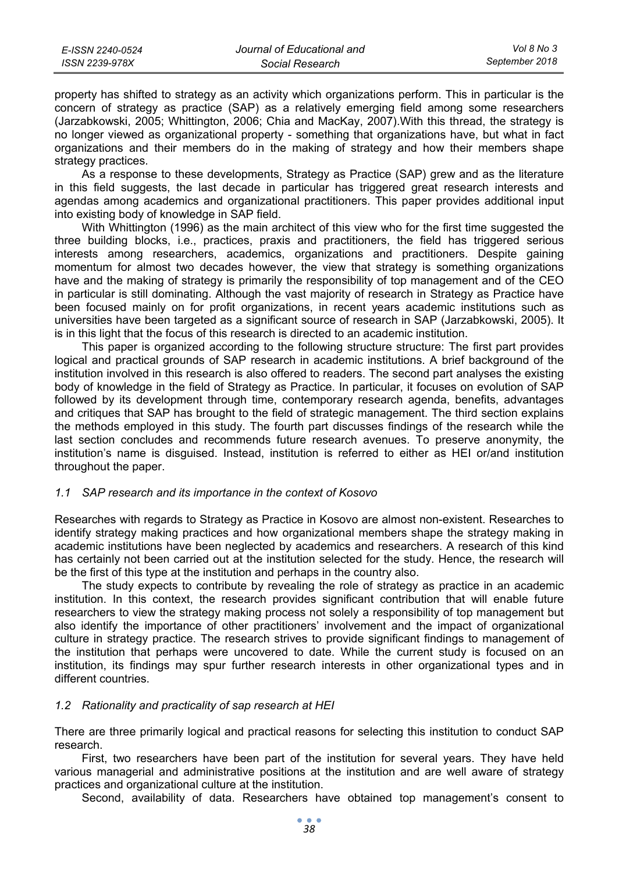| E-ISSN 2240-0524 | Journal of Educational and | Vol 8 No 3     |
|------------------|----------------------------|----------------|
| ISSN 2239-978X   | Social Research            | September 2018 |

property has shifted to strategy as an activity which organizations perform. This in particular is the concern of strategy as practice (SAP) as a relatively emerging field among some researchers (Jarzabkowski, 2005; Whittington, 2006; Chia and MacKay, 2007).With this thread, the strategy is no longer viewed as organizational property - something that organizations have, but what in fact organizations and their members do in the making of strategy and how their members shape strategy practices.

As a response to these developments, Strategy as Practice (SAP) grew and as the literature in this field suggests, the last decade in particular has triggered great research interests and agendas among academics and organizational practitioners. This paper provides additional input into existing body of knowledge in SAP field.

With Whittington (1996) as the main architect of this view who for the first time suggested the three building blocks, i.e., practices, praxis and practitioners, the field has triggered serious interests among researchers, academics, organizations and practitioners. Despite gaining momentum for almost two decades however, the view that strategy is something organizations have and the making of strategy is primarily the responsibility of top management and of the CEO in particular is still dominating. Although the vast majority of research in Strategy as Practice have been focused mainly on for profit organizations, in recent years academic institutions such as universities have been targeted as a significant source of research in SAP (Jarzabkowski, 2005). It is in this light that the focus of this research is directed to an academic institution.

This paper is organized according to the following structure structure: The first part provides logical and practical grounds of SAP research in academic institutions. A brief background of the institution involved in this research is also offered to readers. The second part analyses the existing body of knowledge in the field of Strategy as Practice. In particular, it focuses on evolution of SAP followed by its development through time, contemporary research agenda, benefits, advantages and critiques that SAP has brought to the field of strategic management. The third section explains the methods employed in this study. The fourth part discusses findings of the research while the last section concludes and recommends future research avenues. To preserve anonymity, the institution's name is disguised. Instead, institution is referred to either as HEI or/and institution throughout the paper.

# *1.1 SAP research and its importance in the context of Kosovo*

Researches with regards to Strategy as Practice in Kosovo are almost non-existent. Researches to identify strategy making practices and how organizational members shape the strategy making in academic institutions have been neglected by academics and researchers. A research of this kind has certainly not been carried out at the institution selected for the study. Hence, the research will be the first of this type at the institution and perhaps in the country also.

The study expects to contribute by revealing the role of strategy as practice in an academic institution. In this context, the research provides significant contribution that will enable future researchers to view the strategy making process not solely a responsibility of top management but also identify the importance of other practitioners' involvement and the impact of organizational culture in strategy practice. The research strives to provide significant findings to management of the institution that perhaps were uncovered to date. While the current study is focused on an institution, its findings may spur further research interests in other organizational types and in different countries.

#### *1.2 Rationality and practicality of sap research at HEI*

There are three primarily logical and practical reasons for selecting this institution to conduct SAP research.

First, two researchers have been part of the institution for several years. They have held various managerial and administrative positions at the institution and are well aware of strategy practices and organizational culture at the institution.

Second, availability of data. Researchers have obtained top management's consent to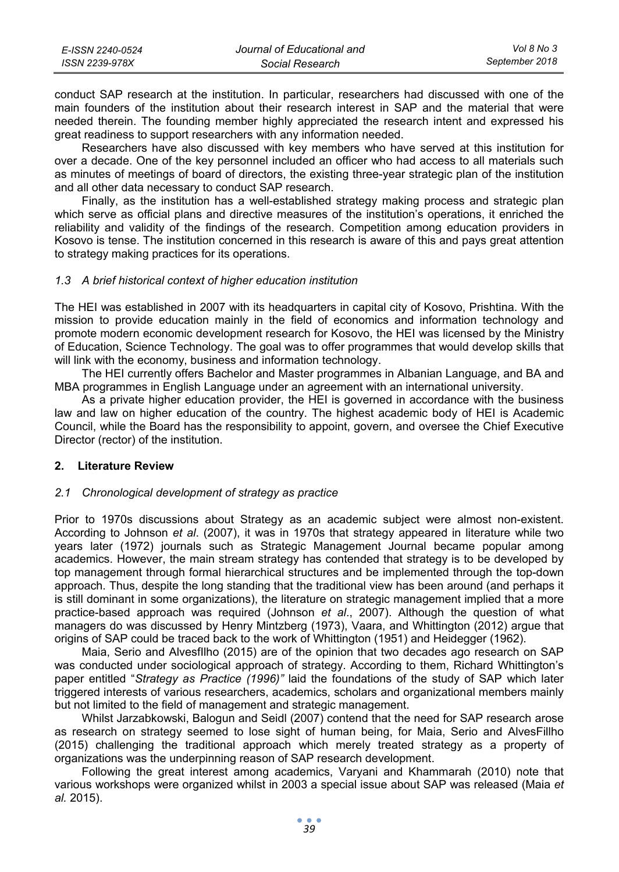| E-ISSN 2240-0524 | Journal of Educational and | Vol 8 No 3     |
|------------------|----------------------------|----------------|
| ISSN 2239-978X   | Social Research            | September 2018 |

conduct SAP research at the institution. In particular, researchers had discussed with one of the main founders of the institution about their research interest in SAP and the material that were needed therein. The founding member highly appreciated the research intent and expressed his great readiness to support researchers with any information needed.

Researchers have also discussed with key members who have served at this institution for over a decade. One of the key personnel included an officer who had access to all materials such as minutes of meetings of board of directors, the existing three-year strategic plan of the institution and all other data necessary to conduct SAP research.

Finally, as the institution has a well-established strategy making process and strategic plan which serve as official plans and directive measures of the institution's operations, it enriched the reliability and validity of the findings of the research. Competition among education providers in Kosovo is tense. The institution concerned in this research is aware of this and pays great attention to strategy making practices for its operations.

# *1.3 A brief historical context of higher education institution*

The HEI was established in 2007 with its headquarters in capital city of Kosovo, Prishtina. With the mission to provide education mainly in the field of economics and information technology and promote modern economic development research for Kosovo, the HEI was licensed by the Ministry of Education, Science Technology. The goal was to offer programmes that would develop skills that will link with the economy, business and information technology.

The HEI currently offers Bachelor and Master programmes in Albanian Language, and BA and MBA programmes in English Language under an agreement with an international university.

As a private higher education provider, the HEI is governed in accordance with the business law and law on higher education of the country. The highest academic body of HEI is Academic Council, while the Board has the responsibility to appoint, govern, and oversee the Chief Executive Director (rector) of the institution.

#### **2. Literature Review**

# *2.1 Chronological development of strategy as practice*

Prior to 1970s discussions about Strategy as an academic subject were almost non-existent. According to Johnson *et al*. (2007), it was in 1970s that strategy appeared in literature while two years later (1972) journals such as Strategic Management Journal became popular among academics. However, the main stream strategy has contended that strategy is to be developed by top management through formal hierarchical structures and be implemented through the top-down approach. Thus, despite the long standing that the traditional view has been around (and perhaps it is still dominant in some organizations), the literature on strategic management implied that a more practice-based approach was required (Johnson *et al*., 2007). Although the question of what managers do was discussed by Henry Mintzberg (1973), Vaara, and Whittington (2012) argue that origins of SAP could be traced back to the work of Whittington (1951) and Heidegger (1962).

Maia, Serio and AlvesfIlho (2015) are of the opinion that two decades ago research on SAP was conducted under sociological approach of strategy. According to them, Richard Whittington's paper entitled "*Strategy as Practice (1996)"* laid the foundations of the study of SAP which later triggered interests of various researchers, academics, scholars and organizational members mainly but not limited to the field of management and strategic management.

Whilst Jarzabkowski, Balogun and Seidl (2007) contend that the need for SAP research arose as research on strategy seemed to lose sight of human being, for Maia, Serio and AlvesFillho (2015) challenging the traditional approach which merely treated strategy as a property of organizations was the underpinning reason of SAP research development.

Following the great interest among academics, Varyani and Khammarah (2010) note that various workshops were organized whilst in 2003 a special issue about SAP was released (Maia *et al.* 2015).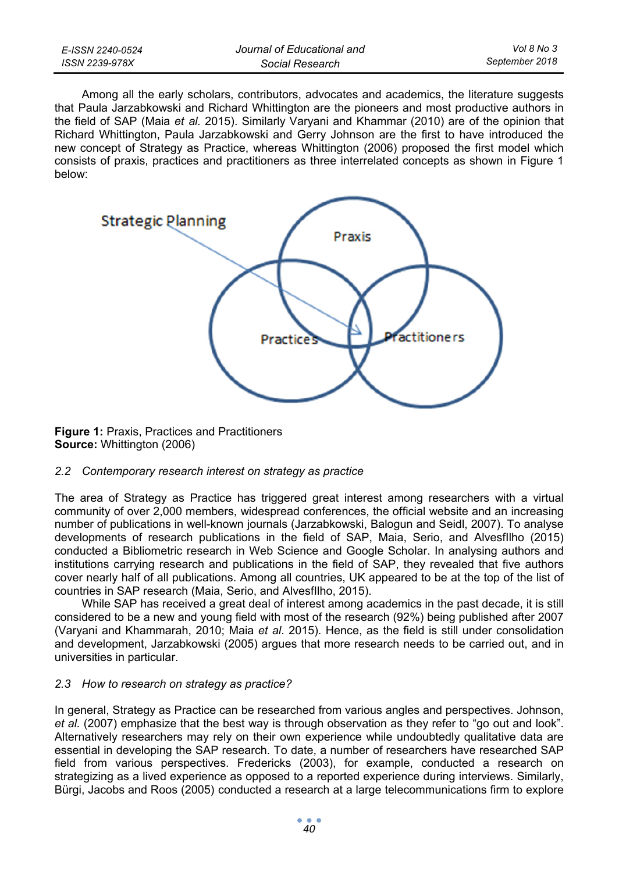| E-ISSN 2240-0524 | Journal of Educational and | Vol 8 No 3     |
|------------------|----------------------------|----------------|
| ISSN 2239-978X   | Social Research            | September 2018 |

Among all the early scholars, contributors, advocates and academics, the literature suggests that Paula Jarzabkowski and Richard Whittington are the pioneers and most productive authors in the field of SAP (Maia *et al.* 2015). Similarly Varyani and Khammar (2010) are of the opinion that Richard Whittington, Paula Jarzabkowski and Gerry Johnson are the first to have introduced the new concept of Strategy as Practice, whereas Whittington (2006) proposed the first model which consists of praxis, practices and practitioners as three interrelated concepts as shown in Figure 1 below:



**Figure 1:** Praxis, Practices and Practitioners **Source:** Whittington (2006)

#### *2.2 Contemporary research interest on strategy as practice*

The area of Strategy as Practice has triggered great interest among researchers with a virtual community of over 2,000 members, widespread conferences, the official website and an increasing number of publications in well-known journals (Jarzabkowski, Balogun and Seidl, 2007). To analyse developments of research publications in the field of SAP, Maia, Serio, and AlvesfIlho (2015) conducted a Bibliometric research in Web Science and Google Scholar. In analysing authors and institutions carrying research and publications in the field of SAP, they revealed that five authors cover nearly half of all publications. Among all countries, UK appeared to be at the top of the list of countries in SAP research (Maia, Serio, and AlvesfIlho, 2015).

While SAP has received a great deal of interest among academics in the past decade, it is still considered to be a new and young field with most of the research (92%) being published after 2007 (Varyani and Khammarah, 2010; Maia *et al*. 2015). Hence, as the field is still under consolidation and development, Jarzabkowski (2005) argues that more research needs to be carried out, and in universities in particular.

# *2.3 How to research on strategy as practice?*

In general, Strategy as Practice can be researched from various angles and perspectives. Johnson, *et al.* (2007) emphasize that the best way is through observation as they refer to "go out and look". Alternatively researchers may rely on their own experience while undoubtedly qualitative data are essential in developing the SAP research. To date, a number of researchers have researched SAP field from various perspectives. Fredericks (2003), for example, conducted a research on strategizing as a lived experience as opposed to a reported experience during interviews. Similarly, Bürgi, Jacobs and Roos (2005) conducted a research at a large telecommunications firm to explore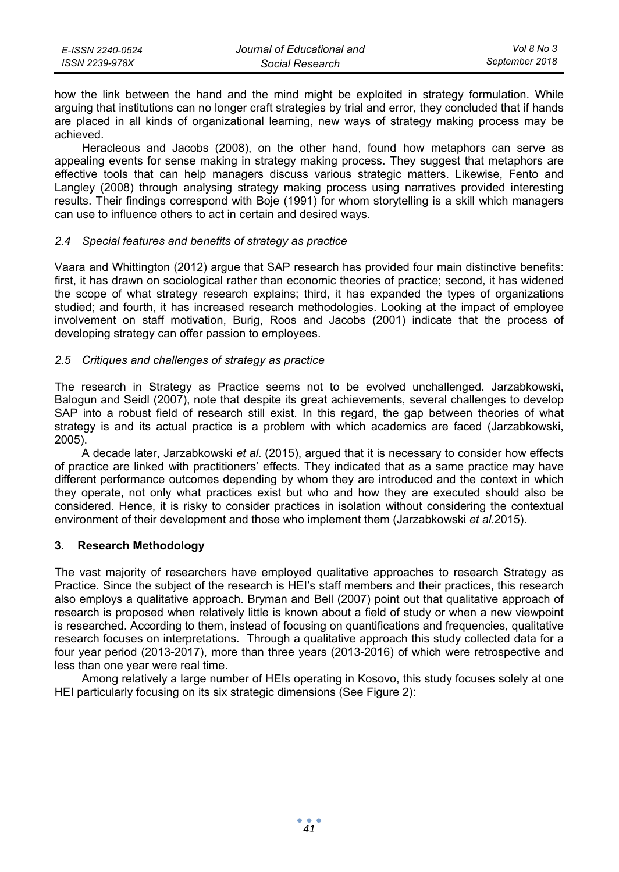| E-ISSN 2240-0524 | Journal of Educational and | Vol 8 No 3     |
|------------------|----------------------------|----------------|
| ISSN 2239-978X   | Social Research            | September 2018 |

how the link between the hand and the mind might be exploited in strategy formulation. While arguing that institutions can no longer craft strategies by trial and error, they concluded that if hands are placed in all kinds of organizational learning, new ways of strategy making process may be achieved.

Heracleous and Jacobs (2008), on the other hand, found how metaphors can serve as appealing events for sense making in strategy making process. They suggest that metaphors are effective tools that can help managers discuss various strategic matters. Likewise, Fento and Langley (2008) through analysing strategy making process using narratives provided interesting results. Their findings correspond with Boje (1991) for whom storytelling is a skill which managers can use to influence others to act in certain and desired ways.

#### *2.4 Special features and benefits of strategy as practice*

Vaara and Whittington (2012) argue that SAP research has provided four main distinctive benefits: first, it has drawn on sociological rather than economic theories of practice; second, it has widened the scope of what strategy research explains; third, it has expanded the types of organizations studied; and fourth, it has increased research methodologies. Looking at the impact of employee involvement on staff motivation, Burig, Roos and Jacobs (2001) indicate that the process of developing strategy can offer passion to employees.

# *2.5 Critiques and challenges of strategy as practice*

The research in Strategy as Practice seems not to be evolved unchallenged. Jarzabkowski, Balogun and Seidl (2007), note that despite its great achievements, several challenges to develop SAP into a robust field of research still exist. In this regard, the gap between theories of what strategy is and its actual practice is a problem with which academics are faced (Jarzabkowski, 2005).

A decade later, Jarzabkowski *et al*. (2015), argued that it is necessary to consider how effects of practice are linked with practitioners' effects. They indicated that as a same practice may have different performance outcomes depending by whom they are introduced and the context in which they operate, not only what practices exist but who and how they are executed should also be considered. Hence, it is risky to consider practices in isolation without considering the contextual environment of their development and those who implement them (Jarzabkowski *et al*.2015).

# **3. Research Methodology**

The vast majority of researchers have employed qualitative approaches to research Strategy as Practice. Since the subject of the research is HEI's staff members and their practices, this research also employs a qualitative approach. Bryman and Bell (2007) point out that qualitative approach of research is proposed when relatively little is known about a field of study or when a new viewpoint is researched. According to them, instead of focusing on quantifications and frequencies, qualitative research focuses on interpretations. Through a qualitative approach this study collected data for a four year period (2013-2017), more than three years (2013-2016) of which were retrospective and less than one year were real time.

Among relatively a large number of HEIs operating in Kosovo, this study focuses solely at one HEI particularly focusing on its six strategic dimensions (See Figure 2):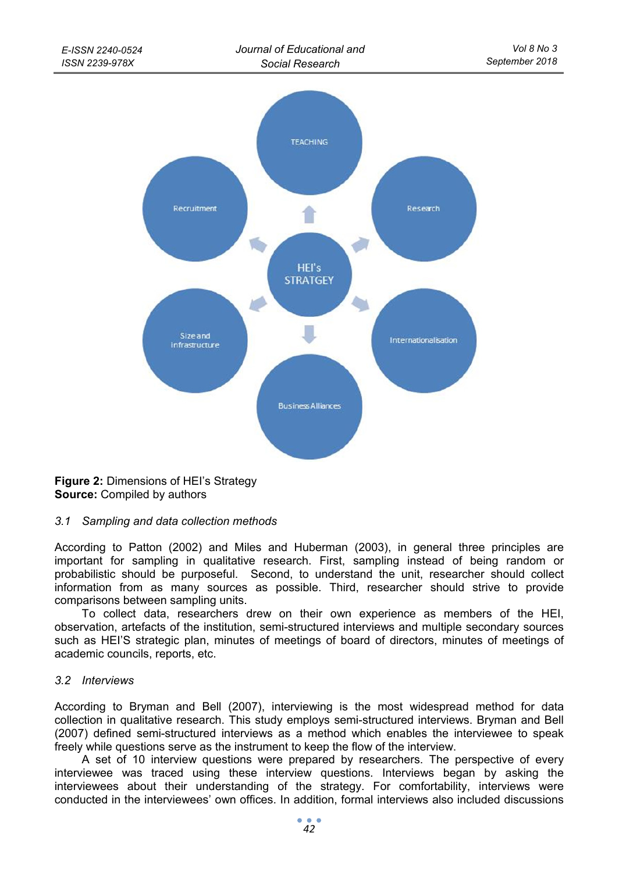

**Figure 2:** Dimensions of HEI's Strategy **Source:** Compiled by authors

# *3.1 Sampling and data collection methods*

According to Patton (2002) and Miles and Huberman (2003), in general three principles are important for sampling in qualitative research. First, sampling instead of being random or probabilistic should be purposeful. Second, to understand the unit, researcher should collect information from as many sources as possible. Third, researcher should strive to provide comparisons between sampling units.

To collect data, researchers drew on their own experience as members of the HEI, observation, artefacts of the institution, semi-structured interviews and multiple secondary sources such as HEI'S strategic plan, minutes of meetings of board of directors, minutes of meetings of academic councils, reports, etc.

#### *3.2 Interviews*

According to Bryman and Bell (2007), interviewing is the most widespread method for data collection in qualitative research. This study employs semi-structured interviews. Bryman and Bell (2007) defined semi-structured interviews as a method which enables the interviewee to speak freely while questions serve as the instrument to keep the flow of the interview.

A set of 10 interview questions were prepared by researchers. The perspective of every interviewee was traced using these interview questions. Interviews began by asking the interviewees about their understanding of the strategy. For comfortability, interviews were conducted in the interviewees' own offices. In addition, formal interviews also included discussions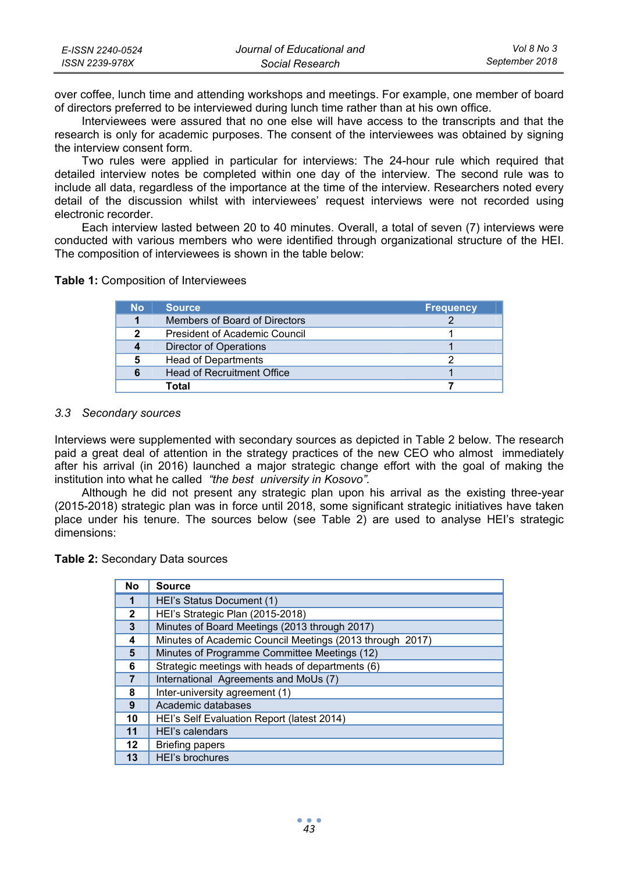| E-ISSN 2240-0524 | Journal of Educational and | Vol 8 No 3     |
|------------------|----------------------------|----------------|
| ISSN 2239-978X   | Social Research            | September 2018 |

over coffee, lunch time and attending workshops and meetings. For example, one member of board of directors preferred to be interviewed during lunch time rather than at his own office.

Interviewees were assured that no one else will have access to the transcripts and that the research is only for academic purposes. The consent of the interviewees was obtained by signing the interview consent form.

Two rules were applied in particular for interviews: The 24-hour rule which required that detailed interview notes be completed within one day of the interview. The second rule was to include all data, regardless of the importance at the time of the interview. Researchers noted every detail of the discussion whilst with interviewees' request interviews were not recorded using electronic recorder.

Each interview lasted between 20 to 40 minutes. Overall, a total of seven (7) interviews were conducted with various members who were identified through organizational structure of the HEI. The composition of interviewees is shown in the table below:

**Table 1:** Composition of Interviewees

| No | <b>Source</b>                 | <b>Frequency</b> |
|----|-------------------------------|------------------|
| 1  | Members of Board of Directors |                  |
| 2  | President of Academic Council |                  |
| 4  | Director of Operations        |                  |
| 5  | <b>Head of Departments</b>    |                  |
| 6  | Head of Recruitment Office    |                  |
|    | Total                         |                  |

#### *3.3 Secondary sources*

Interviews were supplemented with secondary sources as depicted in Table 2 below. The research paid a great deal of attention in the strategy practices of the new CEO who almost immediately after his arrival (in 2016) launched a major strategic change effort with the goal of making the institution into what he called *"the best university in Kosovo".*

Although he did not present any strategic plan upon his arrival as the existing three-year (2015-2018) strategic plan was in force until 2018, some significant strategic initiatives have taken place under his tenure. The sources below (see Table 2) are used to analyse HEI's strategic dimensions:

**Table 2:** Secondary Data sources

| No             | <b>Source</b>                                            |
|----------------|----------------------------------------------------------|
| 1              | HEI's Status Document (1)                                |
| $\overline{2}$ | HEI's Strategic Plan (2015-2018)                         |
| 3              | Minutes of Board Meetings (2013 through 2017)            |
| 4              | Minutes of Academic Council Meetings (2013 through 2017) |
| 5              | Minutes of Programme Committee Meetings (12)             |
| 6              | Strategic meetings with heads of departments (6)         |
| 7              | International Agreements and MoUs (7)                    |
| 8              | Inter-university agreement (1)                           |
| 9              | Academic databases                                       |
| 10             | HEI's Self Evaluation Report (latest 2014)               |
| 11             | HEI's calendars                                          |
| 12             | <b>Briefing papers</b>                                   |
| 13             | <b>HEI's brochures</b>                                   |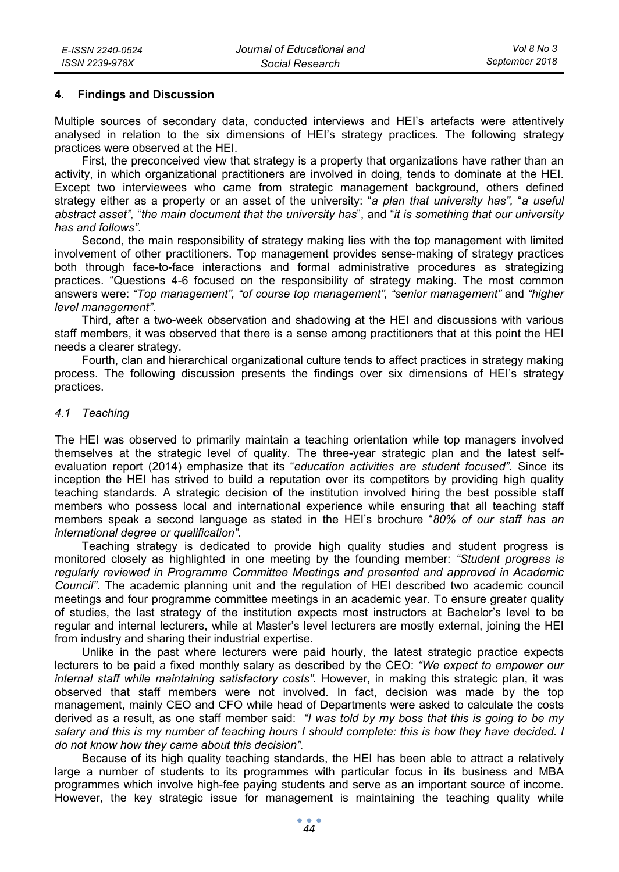## **4. Findings and Discussion**

Multiple sources of secondary data, conducted interviews and HEI's artefacts were attentively analysed in relation to the six dimensions of HEI's strategy practices. The following strategy practices were observed at the HEI.

First, the preconceived view that strategy is a property that organizations have rather than an activity, in which organizational practitioners are involved in doing, tends to dominate at the HEI. Except two interviewees who came from strategic management background, others defined strategy either as a property or an asset of the university: "*a plan that university has",* "*a useful abstract asset",* "*the main document that the university has*", and "*it is something that our university has and follows"*.

Second, the main responsibility of strategy making lies with the top management with limited involvement of other practitioners. Top management provides sense-making of strategy practices both through face-to-face interactions and formal administrative procedures as strategizing practices. "Questions 4-6 focused on the responsibility of strategy making. The most common answers were: *"Top management", "of course top management", "senior management"* and *"higher level management"*.

Third, after a two-week observation and shadowing at the HEI and discussions with various staff members, it was observed that there is a sense among practitioners that at this point the HEI needs a clearer strategy.

Fourth, clan and hierarchical organizational culture tends to affect practices in strategy making process. The following discussion presents the findings over six dimensions of HEI's strategy practices.

#### *4.1 Teaching*

The HEI was observed to primarily maintain a teaching orientation while top managers involved themselves at the strategic level of quality. The three-year strategic plan and the latest selfevaluation report (2014) emphasize that its "*education activities are student focused".* Since its inception the HEI has strived to build a reputation over its competitors by providing high quality teaching standards. A strategic decision of the institution involved hiring the best possible staff members who possess local and international experience while ensuring that all teaching staff members speak a second language as stated in the HEI's brochure "*80% of our staff has an international degree or qualification".* 

Teaching strategy is dedicated to provide high quality studies and student progress is monitored closely as highlighted in one meeting by the founding member: *"Student progress is regularly reviewed in Programme Committee Meetings and presented and approved in Academic Council"*. The academic planning unit and the regulation of HEI described two academic council meetings and four programme committee meetings in an academic year. To ensure greater quality of studies, the last strategy of the institution expects most instructors at Bachelor's level to be regular and internal lecturers, while at Master's level lecturers are mostly external, joining the HEI from industry and sharing their industrial expertise.

Unlike in the past where lecturers were paid hourly, the latest strategic practice expects lecturers to be paid a fixed monthly salary as described by the CEO: *"We expect to empower our internal staff while maintaining satisfactory costs".* However, in making this strategic plan, it was observed that staff members were not involved. In fact, decision was made by the top management, mainly CEO and CFO while head of Departments were asked to calculate the costs derived as a result, as one staff member said: *"I was told by my boss that this is going to be my salary and this is my number of teaching hours I should complete: this is how they have decided. I do not know how they came about this decision".* 

Because of its high quality teaching standards, the HEI has been able to attract a relatively large a number of students to its programmes with particular focus in its business and MBA programmes which involve high-fee paying students and serve as an important source of income. However, the key strategic issue for management is maintaining the teaching quality while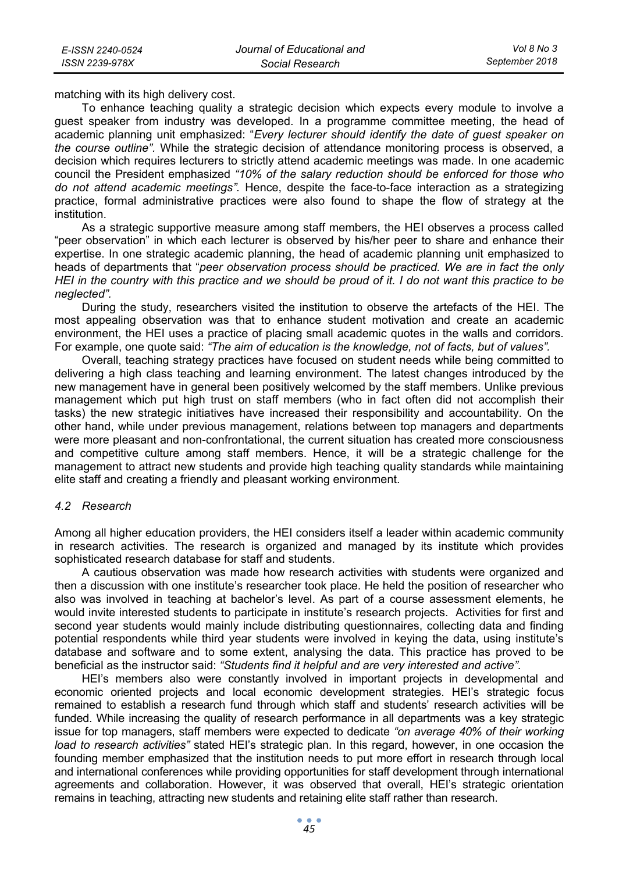matching with its high delivery cost.

To enhance teaching quality a strategic decision which expects every module to involve a guest speaker from industry was developed. In a programme committee meeting, the head of academic planning unit emphasized: "*Every lecturer should identify the date of guest speaker on the course outline".* While the strategic decision of attendance monitoring process is observed, a decision which requires lecturers to strictly attend academic meetings was made. In one academic council the President emphasized *"10% of the salary reduction should be enforced for those who do not attend academic meetings".* Hence, despite the face-to-face interaction as a strategizing practice, formal administrative practices were also found to shape the flow of strategy at the institution.

As a strategic supportive measure among staff members, the HEI observes a process called "peer observation" in which each lecturer is observed by his/her peer to share and enhance their expertise. In one strategic academic planning, the head of academic planning unit emphasized to heads of departments that "*peer observation process should be practiced. We are in fact the only HEI in the country with this practice and we should be proud of it. I do not want this practice to be neglected".*

During the study, researchers visited the institution to observe the artefacts of the HEI. The most appealing observation was that to enhance student motivation and create an academic environment, the HEI uses a practice of placing small academic quotes in the walls and corridors. For example, one quote said: *"The aim of education is the knowledge, not of facts, but of values".*

Overall, teaching strategy practices have focused on student needs while being committed to delivering a high class teaching and learning environment. The latest changes introduced by the new management have in general been positively welcomed by the staff members. Unlike previous management which put high trust on staff members (who in fact often did not accomplish their tasks) the new strategic initiatives have increased their responsibility and accountability. On the other hand, while under previous management, relations between top managers and departments were more pleasant and non-confrontational, the current situation has created more consciousness and competitive culture among staff members. Hence, it will be a strategic challenge for the management to attract new students and provide high teaching quality standards while maintaining elite staff and creating a friendly and pleasant working environment.

#### *4.2 Research*

Among all higher education providers, the HEI considers itself a leader within academic community in research activities. The research is organized and managed by its institute which provides sophisticated research database for staff and students.

A cautious observation was made how research activities with students were organized and then a discussion with one institute's researcher took place. He held the position of researcher who also was involved in teaching at bachelor's level. As part of a course assessment elements, he would invite interested students to participate in institute's research projects. Activities for first and second year students would mainly include distributing questionnaires, collecting data and finding potential respondents while third year students were involved in keying the data, using institute's database and software and to some extent, analysing the data. This practice has proved to be beneficial as the instructor said: *"Students find it helpful and are very interested and active".*

HEI's members also were constantly involved in important projects in developmental and economic oriented projects and local economic development strategies. HEI's strategic focus remained to establish a research fund through which staff and students' research activities will be funded. While increasing the quality of research performance in all departments was a key strategic issue for top managers, staff members were expected to dedicate *"on average 40% of their working load to research activities"* stated HEI's strategic plan. In this regard, however, in one occasion the founding member emphasized that the institution needs to put more effort in research through local and international conferences while providing opportunities for staff development through international agreements and collaboration. However, it was observed that overall, HEI's strategic orientation remains in teaching, attracting new students and retaining elite staff rather than research.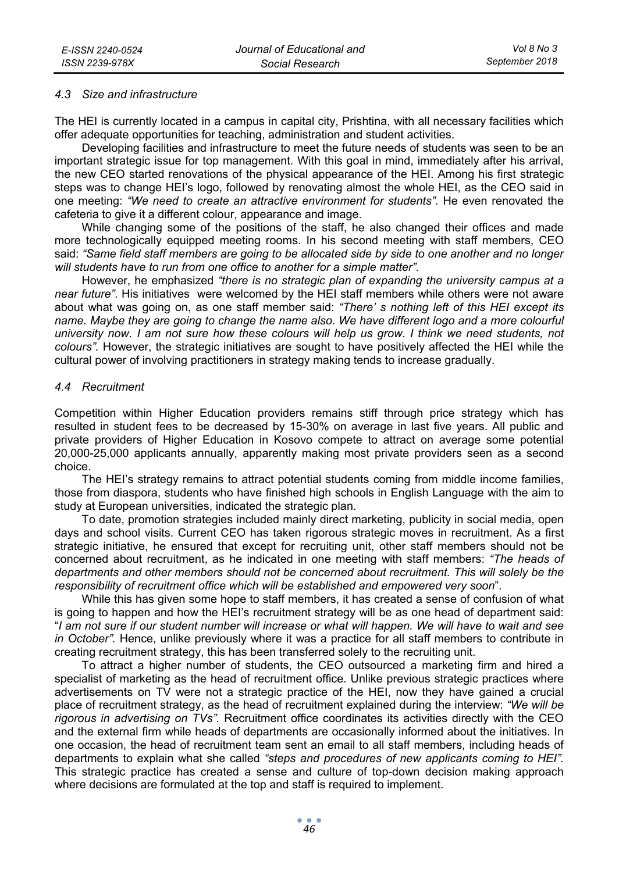### *4.3 Size and infrastructure*

The HEI is currently located in a campus in capital city, Prishtina, with all necessary facilities which offer adequate opportunities for teaching, administration and student activities.

Developing facilities and infrastructure to meet the future needs of students was seen to be an important strategic issue for top management. With this goal in mind, immediately after his arrival, the new CEO started renovations of the physical appearance of the HEI. Among his first strategic steps was to change HEI's logo, followed by renovating almost the whole HEI, as the CEO said in one meeting: *"We need to create an attractive environment for students".* He even renovated the cafeteria to give it a different colour, appearance and image.

While changing some of the positions of the staff, he also changed their offices and made more technologically equipped meeting rooms. In his second meeting with staff members, CEO said: *"Same field staff members are going to be allocated side by side to one another and no longer will students have to run from one office to another for a simple matter".*

However, he emphasized *"there is no strategic plan of expanding the university campus at a near future"*. His initiatives were welcomed by the HEI staff members while others were not aware about what was going on, as one staff member said: *"There' s nothing left of this HEI except its name. Maybe they are going to change the name also. We have different logo and a more colourful university now. I am not sure how these colours will help us grow. I think we need students, not colours".* However, the strategic initiatives are sought to have positively affected the HEI while the cultural power of involving practitioners in strategy making tends to increase gradually.

#### *4.4 Recruitment*

Competition within Higher Education providers remains stiff through price strategy which has resulted in student fees to be decreased by 15-30% on average in last five years. All public and private providers of Higher Education in Kosovo compete to attract on average some potential 20,000-25,000 applicants annually, apparently making most private providers seen as a second choice.

The HEI's strategy remains to attract potential students coming from middle income families, those from diaspora, students who have finished high schools in English Language with the aim to study at European universities, indicated the strategic plan.

To date, promotion strategies included mainly direct marketing, publicity in social media, open days and school visits. Current CEO has taken rigorous strategic moves in recruitment. As a first strategic initiative, he ensured that except for recruiting unit, other staff members should not be concerned about recruitment, as he indicated in one meeting with staff members: *"The heads of departments and other members should not be concerned about recruitment. This will solely be the responsibility of recruitment office which will be established and empowered very soon*".

While this has given some hope to staff members, it has created a sense of confusion of what is going to happen and how the HEI's recruitment strategy will be as one head of department said: "*I am not sure if our student number will increase or what will happen. We will have to wait and see in October".* Hence, unlike previously where it was a practice for all staff members to contribute in creating recruitment strategy, this has been transferred solely to the recruiting unit.

To attract a higher number of students, the CEO outsourced a marketing firm and hired a specialist of marketing as the head of recruitment office. Unlike previous strategic practices where advertisements on TV were not a strategic practice of the HEI, now they have gained a crucial place of recruitment strategy, as the head of recruitment explained during the interview: *"We will be rigorous in advertising on TVs".* Recruitment office coordinates its activities directly with the CEO and the external firm while heads of departments are occasionally informed about the initiatives. In one occasion, the head of recruitment team sent an email to all staff members, including heads of departments to explain what she called *"steps and procedures of new applicants coming to HEI".* This strategic practice has created a sense and culture of top-down decision making approach where decisions are formulated at the top and staff is required to implement.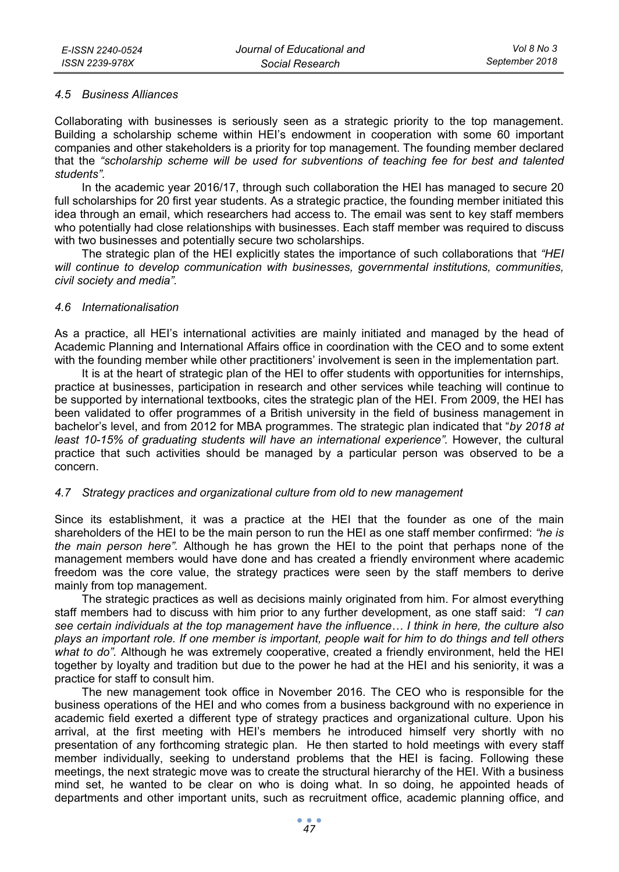### *4.5 Business Alliances*

Collaborating with businesses is seriously seen as a strategic priority to the top management. Building a scholarship scheme within HEI's endowment in cooperation with some 60 important companies and other stakeholders is a priority for top management. The founding member declared that the *"scholarship scheme will be used for subventions of teaching fee for best and talented students".*

In the academic year 2016/17, through such collaboration the HEI has managed to secure 20 full scholarships for 20 first year students. As a strategic practice, the founding member initiated this idea through an email, which researchers had access to. The email was sent to key staff members who potentially had close relationships with businesses. Each staff member was required to discuss with two businesses and potentially secure two scholarships.

The strategic plan of the HEI explicitly states the importance of such collaborations that *"HEI will continue to develop communication with businesses, governmental institutions, communities, civil society and media".*

## *4.6 Internationalisation*

As a practice, all HEI's international activities are mainly initiated and managed by the head of Academic Planning and International Affairs office in coordination with the CEO and to some extent with the founding member while other practitioners' involvement is seen in the implementation part.

It is at the heart of strategic plan of the HEI to offer students with opportunities for internships, practice at businesses, participation in research and other services while teaching will continue to be supported by international textbooks, cites the strategic plan of the HEI. From 2009, the HEI has been validated to offer programmes of a British university in the field of business management in bachelor's level, and from 2012 for MBA programmes. The strategic plan indicated that "*by 2018 at*  least 10-15% of graduating students will have an international experience". However, the cultural practice that such activities should be managed by a particular person was observed to be a concern.

# *4.7 Strategy practices and organizational culture from old to new management*

Since its establishment, it was a practice at the HEI that the founder as one of the main shareholders of the HEI to be the main person to run the HEI as one staff member confirmed: *"he is the main person here".* Although he has grown the HEI to the point that perhaps none of the management members would have done and has created a friendly environment where academic freedom was the core value, the strategy practices were seen by the staff members to derive mainly from top management.

The strategic practices as well as decisions mainly originated from him. For almost everything staff members had to discuss with him prior to any further development, as one staff said: *"I can see certain individuals at the top management have the influence… I think in here, the culture also plays an important role. If one member is important, people wait for him to do things and tell others what to do".* Although he was extremely cooperative, created a friendly environment, held the HEI together by loyalty and tradition but due to the power he had at the HEI and his seniority, it was a practice for staff to consult him.

The new management took office in November 2016. The CEO who is responsible for the business operations of the HEI and who comes from a business background with no experience in academic field exerted a different type of strategy practices and organizational culture. Upon his arrival, at the first meeting with HEI's members he introduced himself very shortly with no presentation of any forthcoming strategic plan. He then started to hold meetings with every staff member individually, seeking to understand problems that the HEI is facing. Following these meetings, the next strategic move was to create the structural hierarchy of the HEI. With a business mind set, he wanted to be clear on who is doing what. In so doing, he appointed heads of departments and other important units, such as recruitment office, academic planning office, and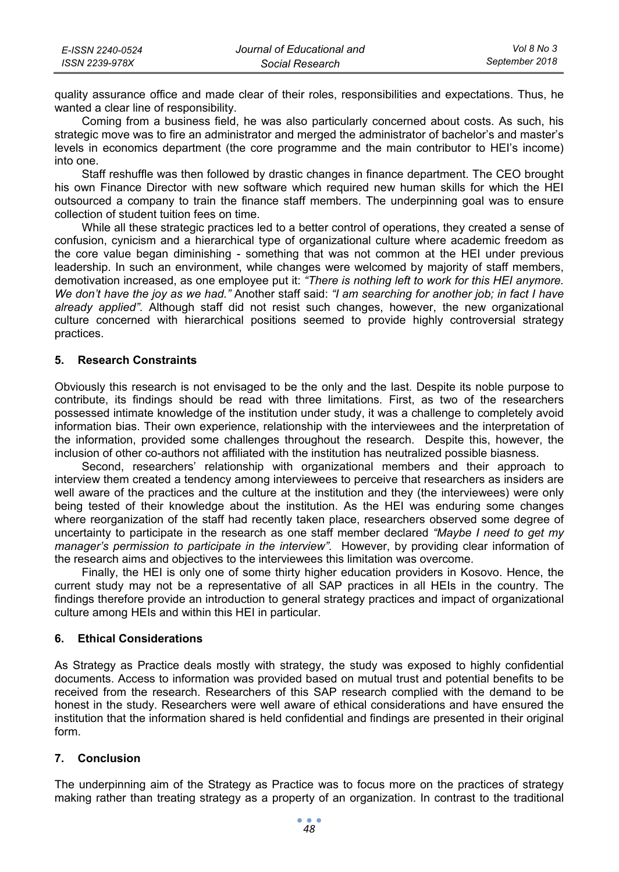| E-ISSN 2240-0524 | Journal of Educational and | Vol 8 No 3     |
|------------------|----------------------------|----------------|
| ISSN 2239-978X   | Social Research            | September 2018 |

quality assurance office and made clear of their roles, responsibilities and expectations. Thus, he wanted a clear line of responsibility.

Coming from a business field, he was also particularly concerned about costs. As such, his strategic move was to fire an administrator and merged the administrator of bachelor's and master's levels in economics department (the core programme and the main contributor to HEI's income) into one.

Staff reshuffle was then followed by drastic changes in finance department. The CEO brought his own Finance Director with new software which required new human skills for which the HEI outsourced a company to train the finance staff members. The underpinning goal was to ensure collection of student tuition fees on time.

While all these strategic practices led to a better control of operations, they created a sense of confusion, cynicism and a hierarchical type of organizational culture where academic freedom as the core value began diminishing - something that was not common at the HEI under previous leadership. In such an environment, while changes were welcomed by majority of staff members, demotivation increased, as one employee put it: *"There is nothing left to work for this HEI anymore. We don't have the joy as we had."* Another staff said: *"I am searching for another job; in fact I have already applied"*. Although staff did not resist such changes, however, the new organizational culture concerned with hierarchical positions seemed to provide highly controversial strategy practices.

## **5. Research Constraints**

Obviously this research is not envisaged to be the only and the last. Despite its noble purpose to contribute, its findings should be read with three limitations. First, as two of the researchers possessed intimate knowledge of the institution under study, it was a challenge to completely avoid information bias. Their own experience, relationship with the interviewees and the interpretation of the information, provided some challenges throughout the research. Despite this, however, the inclusion of other co-authors not affiliated with the institution has neutralized possible biasness.

Second, researchers' relationship with organizational members and their approach to interview them created a tendency among interviewees to perceive that researchers as insiders are well aware of the practices and the culture at the institution and they (the interviewees) were only being tested of their knowledge about the institution. As the HEI was enduring some changes where reorganization of the staff had recently taken place, researchers observed some degree of uncertainty to participate in the research as one staff member declared *"Maybe I need to get my manager's permission to participate in the interview".* However, by providing clear information of the research aims and objectives to the interviewees this limitation was overcome.

Finally, the HEI is only one of some thirty higher education providers in Kosovo. Hence, the current study may not be a representative of all SAP practices in all HEIs in the country. The findings therefore provide an introduction to general strategy practices and impact of organizational culture among HEIs and within this HEI in particular.

# **6. Ethical Considerations**

As Strategy as Practice deals mostly with strategy, the study was exposed to highly confidential documents. Access to information was provided based on mutual trust and potential benefits to be received from the research. Researchers of this SAP research complied with the demand to be honest in the study. Researchers were well aware of ethical considerations and have ensured the institution that the information shared is held confidential and findings are presented in their original form.

#### **7. Conclusion**

The underpinning aim of the Strategy as Practice was to focus more on the practices of strategy making rather than treating strategy as a property of an organization. In contrast to the traditional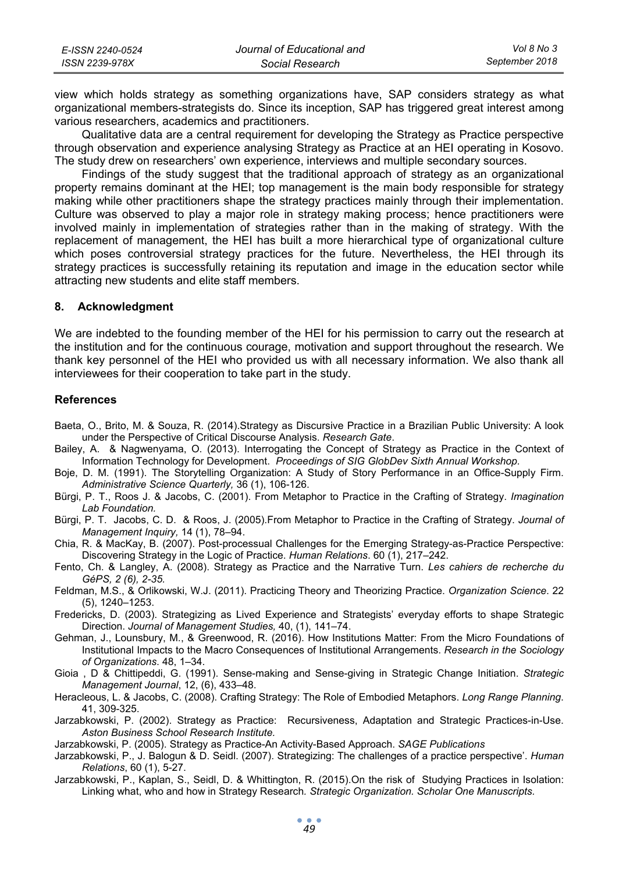| E-ISSN 2240-0524 | Journal of Educational and | Vol 8 No 3     |
|------------------|----------------------------|----------------|
| ISSN 2239-978X   | Social Research            | September 2018 |

view which holds strategy as something organizations have, SAP considers strategy as what organizational members-strategists do. Since its inception, SAP has triggered great interest among various researchers, academics and practitioners.

Qualitative data are a central requirement for developing the Strategy as Practice perspective through observation and experience analysing Strategy as Practice at an HEI operating in Kosovo. The study drew on researchers' own experience, interviews and multiple secondary sources.

Findings of the study suggest that the traditional approach of strategy as an organizational property remains dominant at the HEI; top management is the main body responsible for strategy making while other practitioners shape the strategy practices mainly through their implementation. Culture was observed to play a major role in strategy making process; hence practitioners were involved mainly in implementation of strategies rather than in the making of strategy. With the replacement of management, the HEI has built a more hierarchical type of organizational culture which poses controversial strategy practices for the future. Nevertheless, the HEI through its strategy practices is successfully retaining its reputation and image in the education sector while attracting new students and elite staff members.

# **8. Acknowledgment**

We are indebted to the founding member of the HEI for his permission to carry out the research at the institution and for the continuous courage, motivation and support throughout the research. We thank key personnel of the HEI who provided us with all necessary information. We also thank all interviewees for their cooperation to take part in the study.

## **References**

- Baeta, O., Brito, M. & Souza, R. (2014).Strategy as Discursive Practice in a Brazilian Public University: A look under the Perspective of Critical Discourse Analysis. *Research Gate*.
- Bailey, A. & Nagwenyama, O. (2013). Interrogating the Concept of Strategy as Practice in the Context of Information Technology for Development. *Proceedings of SIG GlobDev Sixth Annual Workshop.*
- Boje, D. M. (1991). The Storytelling Organization: A Study of Story Performance in an Office-Supply Firm. *Administrative Science Quarterly,* 36 (1), 106-126.
- Bürgi, P. T., Roos J. & Jacobs, C. (2001). From Metaphor to Practice in the Crafting of Strategy. *Imagination Lab Foundation.*
- Bürgi, P. T. Jacobs, C. D. & Roos, J. (2005).From Metaphor to Practice in the Crafting of Strategy. *Journal of Management Inquiry,* 14 (1), 78–94.
- Chia, R. & MacKay, B. (2007). Post-processual Challenges for the Emerging Strategy-as-Practice Perspective: Discovering Strategy in the Logic of Practice. *Human Relations*. 60 (1), 217–242.
- Fento, Ch. & Langley, A. (2008). Strategy as Practice and the Narrative Turn. *Les cahiers de recherche du GéPS, 2 (6), 2-35.*
- Feldman, M.S., & Orlikowski, W.J. (2011). Practicing Theory and Theorizing Practice. *Organization Science*. 22 (5), 1240–1253.
- Fredericks, D. (2003). Strategizing as Lived Experience and Strategists' everyday efforts to shape Strategic Direction. *Journal of Management Studies,* 40, (1), 141–74.
- Gehman, J., Lounsbury, M., & Greenwood, R. (2016). How Institutions Matter: From the Micro Foundations of Institutional Impacts to the Macro Consequences of Institutional Arrangements. *Research in the Sociology of Organizations*. 48, 1–34.
- Gioia , D & Chittipeddi, G. (1991). Sense-making and Sense-giving in Strategic Change Initiation. *Strategic Management Journal*, 12, (6), 433–48.
- Heracleous, L. & Jacobs, C. (2008). Crafting Strategy: The Role of Embodied Metaphors. *Long Range Planning*. 41, 309-325.
- Jarzabkowski, P. (2002). Strategy as Practice: Recursiveness, Adaptation and Strategic Practices-in-Use. *Aston Business School Research Institute.*
- Jarzabkowski, P. (2005). Strategy as Practice-An Activity-Based Approach. *SAGE Publications*
- Jarzabkowski, P., J. Balogun & D. Seidl. (2007). Strategizing: The challenges of a practice perspective'. *Human Relations*, 60 (1), 5-27.
- Jarzabkowski, P., Kaplan, S., Seidl, D. & Whittington, R. (2015).On the risk of Studying Practices in Isolation: Linking what, who and how in Strategy Research*. Strategic Organization. Scholar One Manuscripts.*